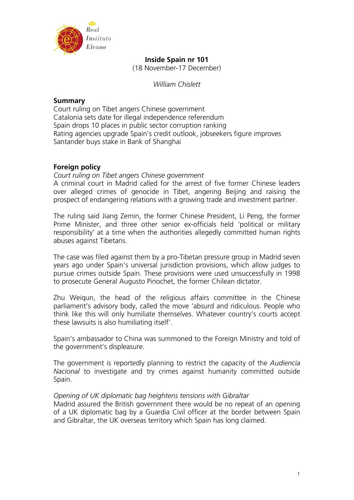

# **Inside Spain nr 101**

(18 November-17 December)

*William Chislett* 

# **Summary**

Court ruling on Tibet angers Chinese government Catalonia sets date for illegal independence referendum Spain drops 10 places in public sector corruption ranking Rating agencies upgrade Spain's credit outlook, jobseekers figure improves Santander buys stake in Bank of Shanghai

# **Foreign policy**

*Court ruling on Tibet angers Chinese government* 

A criminal court in Madrid called for the arrest of five former Chinese leaders over alleged crimes of genocide in Tibet, angering Beijing and raising the prospect of endangering relations with a growing trade and investment partner.

The ruling said Jiang Zemin, the former Chinese President, Li Peng, the former Prime Minister, and three other senior ex-officials held 'political or military responsibility' at a time when the authorities allegedly committed human rights abuses against Tibetans.

The case was filed against them by a pro-Tibetan pressure group in Madrid seven years ago under Spain's universal jurisdiction provisions, which allow judges to pursue crimes outside Spain. These provisions were used unsuccessfully in 1998 to prosecute General Augusto Pinochet, the former Chilean dictator.

Zhu Weiqun, the head of the religious affairs committee in the Chinese parliament's advisory body, called the move 'absurd and ridiculous. People who think like this will only humiliate themselves. Whatever country's courts accept these lawsuits is also humiliating itself'.

Spain's ambassador to China was summoned to the Foreign Ministry and told of the government's displeasure.

The government is reportedly planning to restrict the capacity of the *Audiencia Nacional* to investigate and try crimes against humanity committed outside Spain.

## *Opening of UK diplomatic bag heightens tensions with Gibraltar*

Madrid assured the British government there would be no repeat of an opening of a UK diplomatic bag by a Guardia Civil officer at the border between Spain and Gibraltar, the UK overseas territory which Spain has long claimed.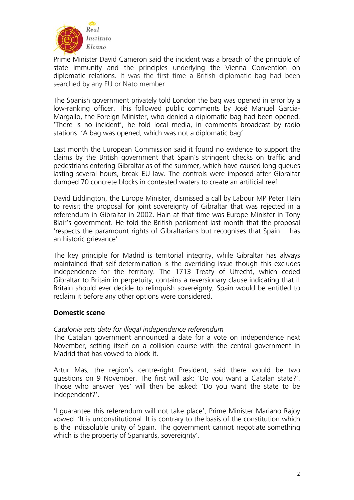

Prime Minister David Cameron said the incident was a breach of the principle of state immunity and the principles underlying the Vienna Convention on diplomatic relations. It was the first time a British diplomatic bag had been searched by any EU or Nato member.

The Spanish government privately told London the bag was opened in error by a low-ranking officer. This followed public comments by José Manuel García-Margallo, the Foreign Minister, who denied a diplomatic bag had been opened. 'There is no incident', he told local media, in comments broadcast by radio stations. 'A bag was opened, which was not a diplomatic bag'.

Last month the European Commission said it found no evidence to support the claims by the British government that Spain's stringent checks on traffic and pedestrians entering Gibraltar as of the summer, which have caused long queues lasting several hours, break EU law. The controls were imposed after Gibraltar dumped 70 concrete blocks in contested waters to create an artificial reef.

David Liddington, the Europe Minister, dismissed a call by Labour MP Peter Hain to revisit the proposal for joint sovereignty of Gibraltar that was rejected in a referendum in Gibraltar in 2002. Hain at that time was Europe Minister in Tony Blair's government. He told the British parliament last month that the proposal 'respects the paramount rights of Gibraltarians but recognises that Spain… has an historic grievance'.

The key principle for Madrid is territorial integrity, while Gibraltar has always maintained that self-determination is the overriding issue though this excludes independence for the territory. The 1713 Treaty of Utrecht, which ceded Gibraltar to Britain in perpetuity, contains a reversionary clause indicating that if Britain should ever decide to relinquish sovereignty, Spain would be entitled to reclaim it before any other options were considered.

# **Domestic scene**

# *Catalonia sets date for illegal independence referendum*

The Catalan government announced a date for a vote on independence next November, setting itself on a collision course with the central government in Madrid that has vowed to block it.

Artur Mas, the region's centre-right President, said there would be two questions on 9 November. The first will ask: 'Do you want a Catalan state?'. Those who answer 'yes' will then be asked: 'Do you want the state to be independent?'.

'I guarantee this referendum will not take place', Prime Minister Mariano Rajoy vowed. 'It is unconstitutional. It is contrary to the basis of the constitution which is the indissoluble unity of Spain. The government cannot negotiate something which is the property of Spaniards, sovereignty'.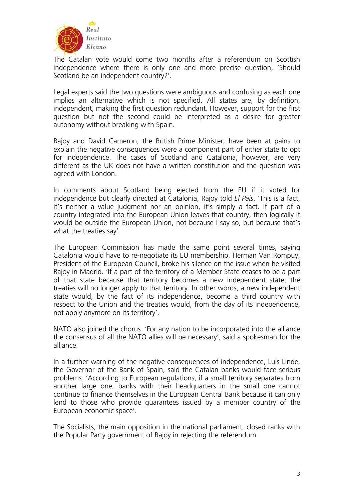

The Catalan vote would come two months after a referendum on Scottish independence where there is only one and more precise question, 'Should Scotland be an independent country?'.

Legal experts said the two questions were ambiguous and confusing as each one implies an alternative which is not specified. All states are, by definition, independent, making the first question redundant. However, support for the first question but not the second could be interpreted as a desire for greater autonomy without breaking with Spain.

Rajoy and David Cameron, the British Prime Minister, have been at pains to explain the negative consequences were a component part of either state to opt for independence. The cases of Scotland and Catalonia, however, are very different as the UK does not have a written constitution and the question was agreed with London.

In comments about Scotland being ejected from the EU if it voted for independence but clearly directed at Catalonia, Rajoy told *El País*, 'This is a fact, it's neither a value judgment nor an opinion, it's simply a fact. If part of a country integrated into the European Union leaves that country, then logically it would be outside the European Union, not because I say so, but because that's what the treaties say'.

The European Commission has made the same point several times, saying Catalonia would have to re-negotiate its EU membership. Herman Van Rompuy, President of the European Council, broke his silence on the issue when he visited Rajoy in Madrid. 'If a part of the territory of a Member State ceases to be a part of that state because that territory becomes a new independent state, the treaties will no longer apply to that territory. In other words, a new independent state would, by the fact of its independence, become a third country with respect to the Union and the treaties would, from the day of its independence, not apply anymore on its territory'.

NATO also joined the chorus. 'For any nation to be incorporated into the alliance the consensus of all the NATO allies will be necessary', said a spokesman for the alliance.

In a further warning of the negative consequences of independence, Luis Linde, the Governor of the Bank of Spain, said the Catalan banks would face serious problems. 'According to European regulations, if a small territory separates from another large one, banks with their headquarters in the small one cannot continue to finance themselves in the European Central Bank because it can only lend to those who provide guarantees issued by a member country of the European economic space'.

The Socialists, the main opposition in the national parliament, closed ranks with the Popular Party government of Rajoy in rejecting the referendum.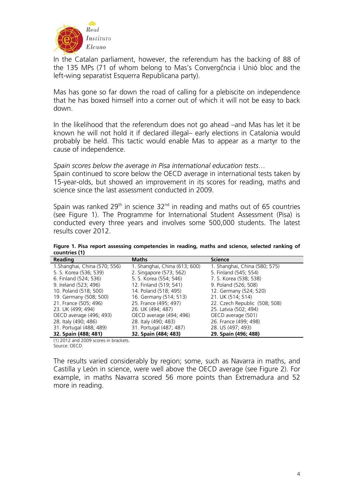

In the Catalan parliament, however, the referendum has the backing of 88 of the 135 MPs (71 of whom belong to Mas's Convergčncia i Unió bloc and the left-wing separatist Esquerra Republicana party).

Mas has gone so far down the road of calling for a plebiscite on independence that he has boxed himself into a corner out of which it will not be easy to back down.

In the likelihood that the referendum does not go ahead –and Mas has let it be known he will not hold it if declared illegal– early elections in Catalonia would probably be held. This tactic would enable Mas to appear as a martyr to the cause of independence.

*Spain scores below the average in Pisa international education tests…* 

Spain continued to score below the OECD average in international tests taken by 15-year-olds, but showed an improvement in its scores for reading, maths and science since the last assessment conducted in 2009.

Spain was ranked  $29<sup>th</sup>$  in science  $32<sup>nd</sup>$  in reading and maths out of 65 countries (see Figure 1). The Programme for International Student Assessment (Pisa) is conducted every three years and involves some 500,000 students. The latest results cover 2012.

**Figure 1. Pisa report assessing competencies in reading, maths and science, selected ranking of countries (1)** 

| Reading                       | <b>Maths</b>                  | <b>Science</b>                |
|-------------------------------|-------------------------------|-------------------------------|
| 1. Shanghai, China (570; 556) | 1. Shanghai, China (613; 600) | 1. Shanghai, China (580; 575) |
| 5. S. Korea (536; 539)        | 2. Singapore (573; 562)       | 5. Finland (545; 554)         |
| 6. Finland (524; 536)         | 5. S. Korea (554; 546)        | 7. S. Korea (538; 538)        |
| 9. Ireland (523; 496)         | 12. Finland (519; 541)        | 9. Poland (526; 508)          |
| 10. Poland (518; 500)         | 14. Poland (518; 495)         | 12. Germany (524; 520)        |
| 19. Germany (508; 500)        | 16. Germany (514; 513)        | 21. UK (514; 514)             |
| 21. France (505; 496)         | 25. France (495; 497)         | 22. Czech Republic (508; 508) |
| 23. UK (499; 494)             | 26. UK (494; 487)             | 25. Latvia (502; 494)         |
| OECD average (496; 493)       | OECD average (494; 496)       | OECD average (501)            |
| 28. Italy (490; 486)          | 28. Italy (490; 483)          | 26. France (499; 498)         |
| 31. Portugal (488; 489)       | 31. Portugal (487; 487)       | 28. US (497; 493)             |
| 32. Spain (488; 481)          | 32. Spain (484; 483)          | 29. Spain (496; 488)          |

(1) 2012 and 2009 scores in brackets. Source: OECD.

The results varied considerably by region; some, such as Navarra in maths, and Castilla y León in science, were well above the OECD average (see Figure 2). For example, in maths Navarra scored 56 more points than Extremadura and 52 more in reading.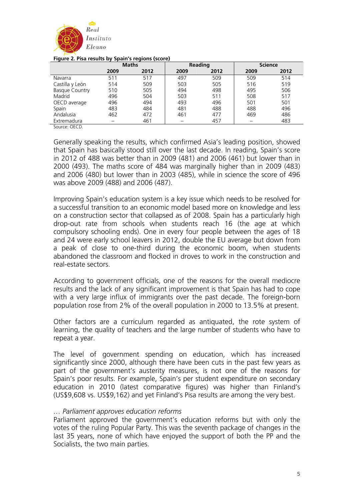

|                       | . .          | -    |         |      |                |      |
|-----------------------|--------------|------|---------|------|----------------|------|
|                       | <b>Maths</b> |      | Reading |      | <b>Science</b> |      |
|                       | 2009         | 2012 | 2009    | 2012 | 2009           | 2012 |
| Navarra               | 511          | 517  | 497     | 509  | 509            | 514  |
| Castilla y León       | 514          | 509  | 503     | 505  | 516            | 519  |
| <b>Basque Country</b> | 510          | 505  | 494     | 498  | 495            | 506  |
| Madrid                | 496          | 504  | 503     | 511  | 508            | 517  |
| OECD average          | 496          | 494  | 493     | 496  | 501            | 501  |
| Spain                 | 483          | 484  | 481     | 488  | 488            | 496  |
| Andalusia             | 462          | 472  | 461     | 477  | 469            | 486  |
| Extremadura           |              | 461  |         | 457  |                | 483  |
|                       |              |      |         |      |                |      |

#### **Figure 2. Pisa results by Spain's regions (score)**

Source: OECD.

Generally speaking the results, which confirmed Asia's leading position, showed that Spain has basically stood still over the last decade. In reading, Spain's score in 2012 of 488 was better than in 2009 (481) and 2006 (461) but lower than in 2000 (493). The maths score of 484 was marginally higher than in 2009 (483) and 2006 (480) but lower than in 2003 (485), while in science the score of 496 was above 2009 (488) and 2006 (487).

Improving Spain's education system is a key issue which needs to be resolved for a successful transition to an economic model based more on knowledge and less on a construction sector that collapsed as of 2008. Spain has a particularly high drop-out rate from schools when students reach 16 (the age at which compulsory schooling ends). One in every four people between the ages of 18 and 24 were early school leavers in 2012, double the EU average but down from a peak of close to one-third during the economic boom, when students abandoned the classroom and flocked in droves to work in the construction and real-estate sectors.

According to government officials, one of the reasons for the overall mediocre results and the lack of any significant improvement is that Spain has had to cope with a very large influx of immigrants over the past decade. The foreign-born population rose from 2% of the overall population in 2000 to 13.5% at present.

Other factors are a curriculum regarded as antiquated, the rote system of learning, the quality of teachers and the large number of students who have to repeat a year.

The level of government spending on education, which has increased significantly since 2000, although there have been cuts in the past few years as part of the government's austerity measures, is not one of the reasons for Spain's poor results. For example, Spain's per student expenditure on secondary education in 2010 (latest comparative figures) was higher than Finland's (US\$9,608 vs. US\$9,162) and yet Finland's Pisa results are among the very best.

## *… Parliament approves education reforms*

Parliament approved the government's education reforms but with only the votes of the ruling Popular Party. This was the seventh package of changes in the last 35 years, none of which have enjoyed the support of both the PP and the Socialists, the two main parties.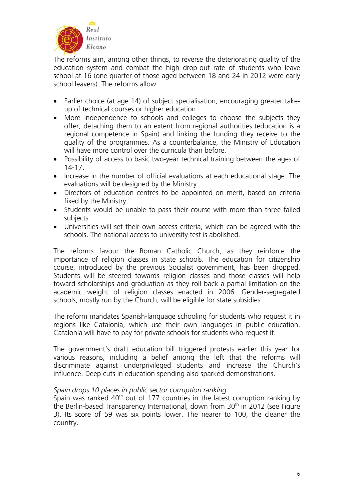

The reforms aim, among other things, to reverse the deteriorating quality of the education system and combat the high drop-out rate of students who leave school at 16 (one-quarter of those aged between 18 and 24 in 2012 were early school leavers). The reforms allow:

- Earlier choice (at age 14) of subject specialisation, encouraging greater takeup of technical courses or higher education.
- More independence to schools and colleges to choose the subjects they offer, detaching them to an extent from regional authorities (education is a regional competence in Spain) and linking the funding they receive to the quality of the programmes. As a counterbalance, the Ministry of Education will have more control over the curricula than before.
- Possibility of access to basic two-year technical training between the ages of 14-17.
- Increase in the number of official evaluations at each educational stage. The evaluations will be designed by the Ministry.
- Directors of education centres to be appointed on merit, based on criteria fixed by the Ministry.
- Students would be unable to pass their course with more than three failed subjects.
- Universities will set their own access criteria, which can be agreed with the schools. The national access to university test is abolished.

The reforms favour the Roman Catholic Church, as they reinforce the importance of religion classes in state schools. The education for citizenship course, introduced by the previous Socialist government, has been dropped. Students will be steered towards religion classes and those classes will help toward scholarships and graduation as they roll back a partial limitation on the academic weight of religion classes enacted in 2006. Gender-segregated schools, mostly run by the Church, will be eligible for state subsidies.

The reform mandates Spanish-language schooling for students who request it in regions like Catalonia, which use their own languages in public education. Catalonia will have to pay for private schools for students who request it.

The government's draft education bill triggered protests earlier this year for various reasons, including a belief among the left that the reforms will discriminate against underprivileged students and increase the Church's influence. Deep cuts in education spending also sparked demonstrations.

# *Spain drops 10 places in public sector corruption ranking*

Spain was ranked  $40<sup>th</sup>$  out of 177 countries in the latest corruption ranking by the Berlin-based Transparency International, down from 30<sup>th</sup> in 2012 (see Figure 3). Its score of 59 was six points lower. The nearer to 100, the cleaner the country.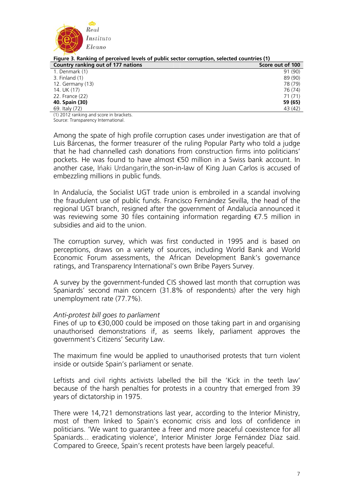

| Figure 3. Ranking of perceived levels of public sector corruption, selected countries (1) |                  |  |  |
|-------------------------------------------------------------------------------------------|------------------|--|--|
| Country ranking out of 177 nations                                                        | Score out of 100 |  |  |
| 1. Denmark (1)                                                                            | 91 (90)          |  |  |
| 3. Finland (1)                                                                            | 89 (90)          |  |  |
| 12. Germany (13)                                                                          | 78 (79)          |  |  |
| 14. UK (17)                                                                               | 76 (74)          |  |  |
| 22. France (22)                                                                           | 71(71)           |  |  |
| 40. Spain (30)                                                                            | 59 (65)          |  |  |
| 69. Italy (72)                                                                            | 43 (42)          |  |  |

**Figure 3. Ranking of perceived levels of public sector corruption, selected countries (1)** 

(1) 2012 ranking and score in brackets. Source: Transparency International.

Among the spate of high profile corruption cases under investigation are that of Luis Bárcenas, the former treasurer of the ruling Popular Party who told a judge that he had channelled cash donations from construction firms into politicians' pockets. He was found to have almost €50 million in a Swiss bank account. In another case, Ińaki Urdangarín,the son-in-law of King Juan Carlos is accused of embezzling millions in public funds.

In Andalucía, the Socialist UGT trade union is embroiled in a scandal involving the fraudulent use of public funds. Francisco Fernández Sevilla, the head of the regional UGT branch, resigned after the government of Andalucía announced it was reviewing some 30 files containing information regarding €7.5 million in subsidies and aid to the union.

The corruption survey, which was first conducted in 1995 and is based on perceptions, draws on a variety of sources, including World Bank and World Economic Forum assessments, the African Development Bank's governance ratings, and Transparency International's own Bribe Payers Survey.

A survey by the government-funded CIS showed last month that corruption was Spaniards' second main concern (31.8% of respondents) after the very high unemployment rate (77.7%).

## *Anti-protest bill goes to parliament*

Fines of up to  $\bigoplus$ 0,000 could be imposed on those taking part in and organising unauthorised demonstrations if, as seems likely, parliament approves the government's Citizens' Security Law.

The maximum fine would be applied to unauthorised protests that turn violent inside or outside Spain's parliament or senate.

Leftists and civil rights activists labelled the bill the 'Kick in the teeth law' because of the harsh penalties for protests in a country that emerged from 39 years of dictatorship in 1975.

There were 14,721 demonstrations last year, according to the Interior Ministry, most of them linked to Spain's economic crisis and loss of confidence in politicians. 'We want to guarantee a freer and more peaceful coexistence for all Spaniards... eradicating violence', Interior Minister Jorge Fernández Díaz said. Compared to Greece, Spain's recent protests have been largely peaceful.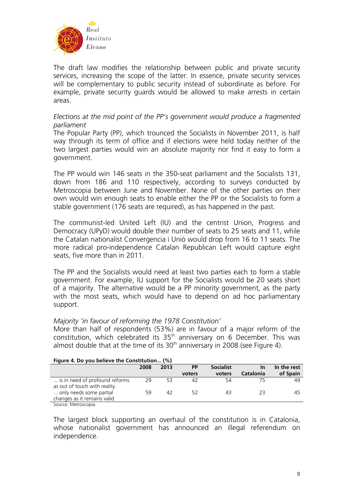

The draft law modifies the relationship between public and private security services, increasing the scope of the latter. In essence, private security services will be complementary to public security instead of subordinate as before. For example, private security guards would be allowed to make arrests in certain areas.

# *Elections at the mid point of the PP's government would produce a fragmented parliament*

The Popular Party (PP), which trounced the Socialists in November 2011, is half way through its term of office and if elections were held today neither of the two largest parties would win an absolute majority nor find it easy to form a government.

The PP would win 146 seats in the 350-seat parliament and the Socialists 131, down from 186 and 110 respectively, according to surveys conducted by Metroscopia between June and November. None of the other parties on their own would win enough seats to enable either the PP or the Socialists to form a stable government (176 seats are required), as has happened in the past.

The communist-led United Left (IU) and the centrist Union, Progress and Democracy (UPyD) would double their number of seats to 25 seats and 11, while the Catalan nationalist Convergencia i Unió would drop from 16 to 11 seats. The more radical pro-independence Catalan Republican Left would capture eight seats, five more than in 2011.

The PP and the Socialists would need at least two parties each to form a stable government. For example, IU support for the Socialists would be 20 seats short of a majority. The alternative would be a PP minority government, as the party with the most seats, which would have to depend on ad hoc parliamentary support.

## *Majority 'in favour of reforming the 1978 Constitution'*

More than half of respondents (53%) are in favour of a major reform of the constitution, which celebrated its 35<sup>th</sup> anniversary on 6 December. This was almost double that at the time of its  $30<sup>th</sup>$  anniversary in 2008 (see Figure 4).

| Figure 4. Do you believe the Constitution (%) |      |      |           |                  |           |             |
|-----------------------------------------------|------|------|-----------|------------------|-----------|-------------|
|                                               | 2008 | 2013 | <b>PP</b> | <b>Socialist</b> | In        | In the rest |
|                                               |      |      | voters    | voters           | Catalonia | of Spain    |
| is in need of profound reforms                | 29   | 53   | 42        | 54               |           | 49          |
| as out of touch with reality                  |      |      |           |                  |           |             |
| only needs some partial                       | 59   | 47   | 52        | 43               | フマ        | 45          |
| changes as it remains valid                   |      |      |           |                  |           |             |
| Cource: Motroccopia                           |      |      |           |                  |           |             |

Source: Metroscopia.

The largest block supporting an overhaul of the constitution is in Catalonia, whose nationalist government has announced an illegal referendum on independence.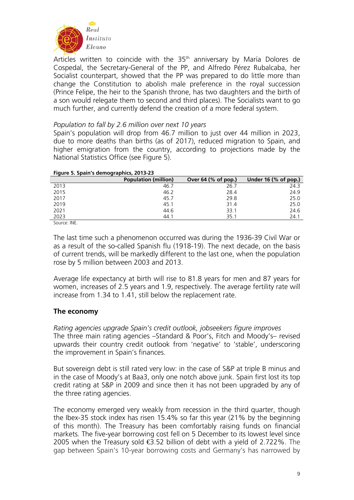

Articles written to coincide with the 35<sup>th</sup> anniversary by María Dolores de Cospedal, the Secretary-General of the PP, and Alfredo Pérez Rubalcaba, her Socialist counterpart, showed that the PP was prepared to do little more than change the Constitution to abolish male preference in the royal succession (Prince Felipe, the heir to the Spanish throne, has two daughters and the birth of a son would relegate them to second and third places). The Socialists want to go much further, and currently defend the creation of a more federal system.

## *Population to fall by 2.6 million over next 10 years*

Spain's population will drop from 46.7 million to just over 44 million in 2023, due to more deaths than births (as of 2017), reduced migration to Spain, and higher emigration from the country, according to projections made by the National Statistics Office (see Figure 5).

| Figure 5. Spain's demographics, 2013-23 |                             |                       |                                    |  |  |
|-----------------------------------------|-----------------------------|-----------------------|------------------------------------|--|--|
|                                         | <b>Population (million)</b> | Over $64$ (% of pop.) | Under 16 $(% \mathbf{A})$ of pop.) |  |  |
| 2013                                    | 46.7                        | 26.7                  | 24.3                               |  |  |
| 2015                                    | 46.2                        | 28.4                  | 24.9                               |  |  |
| 2017                                    | 45.7                        | 29.8                  | 25.0                               |  |  |
| 2019                                    | 45.1                        | 31.4                  | 25.0                               |  |  |
| 2021                                    | 44.6                        | 33.1                  | 24.6                               |  |  |
| 2023                                    | 44.1                        | 35.1                  | 24.1                               |  |  |

## **Figure 5. Spain's demographics, 2013-23**

Source: INE.

The last time such a phenomenon occurred was during the 1936-39 Civil War or as a result of the so-called Spanish flu (1918-19). The next decade, on the basis of current trends, will be markedly different to the last one, when the population rose by 5 million between 2003 and 2013.

Average life expectancy at birth will rise to 81.8 years for men and 87 years for women, increases of 2.5 years and 1.9, respectively. The average fertility rate will increase from 1.34 to 1.41, still below the replacement rate.

# **The economy**

*Rating agencies upgrade Spain's credit outlook, jobseekers figure improves*  The three main rating agencies –Standard & Poor's, Fitch and Moody's– revised upwards their country credit outlook from 'negative' to 'stable', underscoring the improvement in Spain's finances.

But sovereign debt is still rated very low: in the case of S&P at triple B minus and in the case of Moody's at Baa3, only one notch above junk. Spain first lost its top credit rating at S&P in 2009 and since then it has not been upgraded by any of the three rating agencies.

The economy emerged very weakly from recession in the third quarter, though the Ibex-35 stock index has risen 15.4% so far this year (21% by the beginning of this month). The Treasury has been comfortably raising funds on financial markets. The five-year borrowing cost fell on 5 December to its lowest level since 2005 when the Treasury sold  $\bigoplus$  52 billion of debt with a yield of 2.722%. The gap between Spain's 10-year borrowing costs and Germany's has narrowed by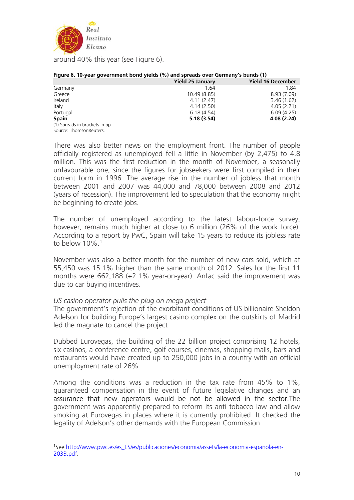

around 40% this year (see Figure 6).

| --- 9------------ <i>-</i> ----<br>$1 - 1 - 1$ |                         |                          |  |  |
|------------------------------------------------|-------------------------|--------------------------|--|--|
|                                                | <b>Yield 25 January</b> | <b>Yield 16 December</b> |  |  |
| Germany                                        | 1.64                    | 1.84                     |  |  |
| Greece                                         | 10.49 (8.85)            | 8.93(7.09)               |  |  |
| Ireland                                        | 4.11(2.47)              | 3.46(1.62)               |  |  |
| Italy                                          | 4.14(2.50)              | 4.05(2.21)               |  |  |
| Portugal                                       | 6.18(4.54)              | 6.09(4.25)               |  |  |
| <b>Spain</b>                                   | 5.18(3.54)              | 4.08 (2.24)              |  |  |

#### **Figure 6. 10-year government bond yields (%) and spreads over Germany's bunds (1)**

(1) Spreads in brackets in pp. Source: ThomsonReuters.

1

There was also better news on the employment front. The number of people officially registered as unemployed fell a little in November (by 2,475) to 4.8 million. This was the first reduction in the month of November, a seasonally unfavourable one, since the figures for jobseekers were first compiled in their current form in 1996. The average rise in the number of jobless that month between 2001 and 2007 was 44,000 and 78,000 between 2008 and 2012 (years of recession). The improvement led to speculation that the economy might be beginning to create jobs.

The number of unemployed according to the latest labour-force survey, however, remains much higher at close to 6 million (26% of the work force). According to a report by PwC, Spain will take 15 years to reduce its jobless rate to below  $10\%$  $10\%$ .<sup>1</sup>

November was also a better month for the number of new cars sold, which at 55,450 was 15.1% higher than the same month of 2012. Sales for the first 11 months were 662,188 (+2.1% year-on-year). Anfac said the improvement was due to car buying incentives.

# *US casino operator pulls the plug on mega project*

The government's rejection of the exorbitant conditions of US billionaire Sheldon Adelson for building Europe's largest casino complex on the outskirts of Madrid led the magnate to cancel the project.

Dubbed Eurovegas, the building of the 22 billion project comprising 12 hotels, six casinos, a conference centre, golf courses, cinemas, shopping malls, bars and restaurants would have created up to 250,000 jobs in a country with an official unemployment rate of 26%.

Among the conditions was a reduction in the tax rate from 45% to 1%, guaranteed compensation in the event of future legislative changes and an assurance that new operators would be not be allowed in the sector.The government was apparently prepared to reform its anti tobacco law and allow smoking at Eurovegas in places where it is currently prohibited. It checked the legality of Adelson's other demands with the European Commission.

<span id="page-9-0"></span><sup>&</sup>lt;sup>1</sup>See [http://www.pwc.es/es\\_ES/es/publicaciones/economia/assets/la-economia-espanola-en-](http://www.pwc.es/es_ES/es/publicaciones/economia/assets/la-economia-espanola-en-2033.pdf)[2033.pdf.](http://www.pwc.es/es_ES/es/publicaciones/economia/assets/la-economia-espanola-en-2033.pdf)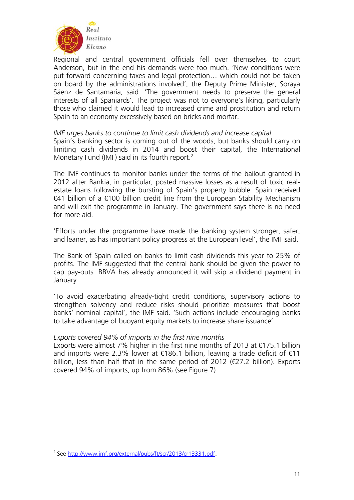

Regional and central government officials fell over themselves to court Anderson, but in the end his demands were too much. 'New conditions were put forward concerning taxes and legal protection… which could not be taken on board by the administrations involved', the Deputy Prime Minister, Soraya Sáenz de Santamaria, said. 'The government needs to preserve the general interests of all Spaniards'. The project was not to everyone's liking, particularly those who claimed it would lead to increased crime and prostitution and return Spain to an economy excessively based on bricks and mortar.

## *IMF urges banks to continue to limit cash dividends and increase capital*

Spain's banking sector is coming out of the woods, but banks should carry on limiting cash dividends in 2014 and boost their capital, the International Monetary Fund (IMF) said in its fourth report.<sup>[2](#page-10-0)</sup>

The IMF continues to monitor banks under the terms of the bailout granted in 2012 after Bankia, in particular, posted massive losses as a result of toxic realestate loans following the bursting of Spain's property bubble. Spain received €41 billion of a €100 billion credit line from the European Stability Mechanism and will exit the programme in January. The government says there is no need for more aid.

'Efforts under the programme have made the banking system stronger, safer, and leaner, as has important policy progress at the European level', the IMF said.

The Bank of Spain called on banks to limit cash dividends this year to 25% of profits. The IMF suggested that the central bank should be given the power to cap pay-outs. BBVA has already announced it will skip a dividend payment in January.

'To avoid exacerbating already-tight credit conditions, supervisory actions to strengthen solvency and reduce risks should prioritize measures that boost banks' nominal capital', the IMF said. 'Such actions include encouraging banks to take advantage of buoyant equity markets to increase share issuance'.

## *Exports covered 94% of imports in the first nine months*

Exports were almost 7% higher in the first nine months of 2013 at  $\epsilon$ 175.1 billion and imports were 2.3% lower at  $\in$ 186.1 billion, leaving a trade deficit of  $\in$ 11 billion, less than half that in the same period of 2012 ( $\bigoplus$  7.2 billion). Exports covered 94% of imports, up from 86% (see Figure 7).

<u>.</u>

<span id="page-10-0"></span><sup>&</sup>lt;sup>2</sup> See [http://www.imf.org/external/pubs/ft/scr/2013/cr13331.pdf.](http://www.imf.org/external/pubs/ft/scr/2013/cr13331.pdf)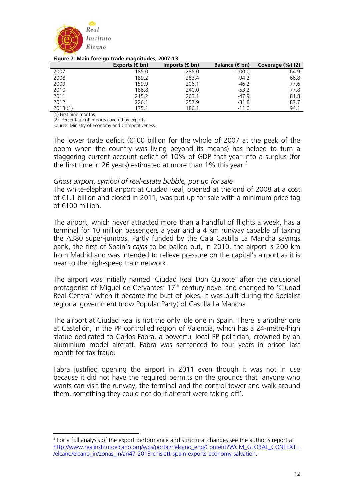

#### **Figure 7. Main foreign trade magnitudes, 2007-13**

|         | $\sim$<br>Exports $(\in$ bn) | Imports $(\in$ bn) | Balance (€bn) | Coverage (%) (2) |
|---------|------------------------------|--------------------|---------------|------------------|
| 2007    | 185.0                        | 285.0              | $-100.0$      | 64.9             |
| 2008    | 189.2                        | 283.4              | $-94.2$       | 66.8             |
| 2009    | 159.9                        | 206.1              | $-46.2$       | 77.6             |
| 2010    | 186.8                        | 240.0              | $-53.2$       | 77.8             |
| 2011    | 215.2                        | 263.1              | $-47.9$       | 81.8             |
| 2012    | 226.1                        | 257.9              | $-31.8$       | 87.7             |
| 2013(1) | 175.1                        | 186.1              | $-11.0$       | 94.1             |

(1) First nine months.

<u>.</u>

(2). Percentage of imports covered by exports.

Source: Ministry of Economy and Competitiveness.

The lower trade deficit ( $\epsilon$ 100 billion for the whole of 2007 at the peak of the boom when the country was living beyond its means) has helped to turn a staggering current account deficit of 10% of GDP that year into a surplus (for the first time in 26 years) estimated at more than 1% this year.<sup>[3](#page-11-0)</sup>

## *Ghost airport, symbol of real-estate bubble, put up for sale*

The white-elephant airport at Ciudad Real, opened at the end of 2008 at a cost of €1.1 billion and closed in 2011, was put up for sale with a minimum price tag of €100 million

The airport, which never attracted more than a handful of flights a week, has a terminal for 10 million passengers a year and a 4 km runway capable of taking the A380 super-jumbos. Partly funded by the Caja Castilla La Mancha savings bank, the first of Spain's *cajas* to be bailed out, in 2010, the airport is 200 km from Madrid and was intended to relieve pressure on the capital's airport as it is near to the high-speed train network.

The airport was initially named 'Ciudad Real Don Quixote' after the delusional protagonist of Miguel de Cervantes'  $17<sup>th</sup>$  century novel and changed to 'Ciudad Real Central' when it became the butt of jokes. It was built during the Socialist regional government (now Popular Party) of Castilla La Mancha.

The airport at Ciudad Real is not the only idle one in Spain. There is another one at Castellón, in the PP controlled region of Valencia, which has a 24-metre-high statue dedicated to Carlos Fabra, a powerful local PP politician, crowned by an aluminium model aircraft. Fabra was sentenced to four years in prison last month for tax fraud.

Fabra justified opening the airport in 2011 even though it was not in use because it did not have the required permits on the grounds that 'anyone who wants can visit the runway, the terminal and the control tower and walk around them, something they could not do if aircraft were taking off'.

<span id="page-11-0"></span><sup>&</sup>lt;sup>3</sup> For a full analysis of the export performance and structural changes see the author's report at [http://www.realinstitutoelcano.org/wps/portal/rielcano\\_eng/Content?WCM\\_GLOBAL\\_CONTEXT=](http://www.realinstitutoelcano.org/wps/portal/rielcano_eng/Content?WCM_GLOBAL_CONTEXT=/elcano/elcano_in/zonas_in/ari47-2013-chislett-spain-exports-economy-salvation) [/elcano/elcano\\_in/zonas\\_in/ari47-2013-chislett-spain-exports-economy-salvation](http://www.realinstitutoelcano.org/wps/portal/rielcano_eng/Content?WCM_GLOBAL_CONTEXT=/elcano/elcano_in/zonas_in/ari47-2013-chislett-spain-exports-economy-salvation).